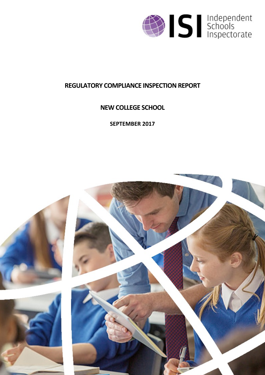

# **REGULATORY COMPLIANCE INSPECTION REPORT**

# **NEW COLLEGE SCHOOL**

**SEPTEMBER 2017**

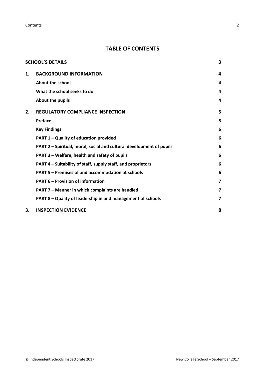**Contents** 2

## **TABLE OF CONTENTS**

|    | <b>SCHOOL'S DETAILS</b>                                              | 3                       |
|----|----------------------------------------------------------------------|-------------------------|
| 1. | <b>BACKGROUND INFORMATION</b>                                        | 4                       |
|    | <b>About the school</b>                                              | 4                       |
|    | What the school seeks to do                                          | 4                       |
|    | About the pupils                                                     | 4                       |
| 2. | <b>REGULATORY COMPLIANCE INSPECTION</b>                              | 5                       |
|    | Preface                                                              | 5                       |
|    | <b>Key Findings</b>                                                  | 6                       |
|    | PART 1 - Quality of education provided                               | 6                       |
|    | PART 2 - Spiritual, moral, social and cultural development of pupils | 6                       |
|    | PART 3 – Welfare, health and safety of pupils                        | 6                       |
|    | PART 4 – Suitability of staff, supply staff, and proprietors         | 6                       |
|    | PART 5 - Premises of and accommodation at schools                    | 6                       |
|    | <b>PART 6 - Provision of information</b>                             | $\overline{\mathbf{z}}$ |
|    | PART 7 - Manner in which complaints are handled                      | $\overline{\mathbf{z}}$ |
|    | PART 8 - Quality of leadership in and management of schools          | $\overline{\mathbf{z}}$ |
| 3. | <b>INSPECTION EVIDENCE</b>                                           | 8                       |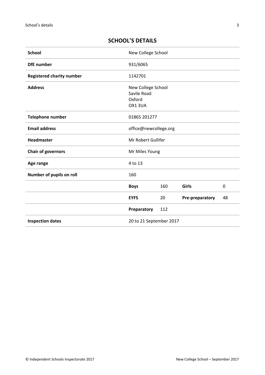| <b>School</b>                           | New College School                                    |     |                 |    |
|-----------------------------------------|-------------------------------------------------------|-----|-----------------|----|
| <b>DfE</b> number                       | 931/6065                                              |     |                 |    |
| <b>Registered charity number</b>        | 1142701                                               |     |                 |    |
| <b>Address</b>                          | New College School<br>Savile Road<br>Oxford<br>OX13UA |     |                 |    |
| <b>Telephone number</b><br>01865 201277 |                                                       |     |                 |    |
| <b>Email address</b>                    | office@newcollege.org                                 |     |                 |    |
| Headmaster                              | Mr Robert Gullifer                                    |     |                 |    |
| <b>Chair of governors</b>               | Mr Miles Young                                        |     |                 |    |
| Age range                               | 4 to 13                                               |     |                 |    |
| Number of pupils on roll                | 160                                                   |     |                 |    |
|                                         | <b>Boys</b>                                           | 160 | Girls           | 0  |
|                                         | <b>EYFS</b>                                           | 20  | Pre-preparatory | 48 |
|                                         | Preparatory                                           | 112 |                 |    |
| <b>Inspection dates</b>                 | 20 to 21 September 2017                               |     |                 |    |

## <span id="page-2-0"></span>**SCHOOL'S DETAILS**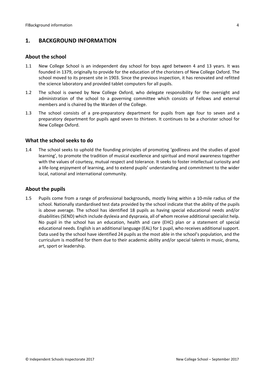## <span id="page-3-0"></span>**1. BACKGROUND INFORMATION**

#### <span id="page-3-1"></span>**About the school**

- 1.1 New College School is an independent day school for boys aged between 4 and 13 years. It was founded in 1379, originally to provide for the education of the choristers of New College Oxford. The school moved to its present site in 1903. Since the previous inspection, it has renovated and refitted the science laboratory and provided tablet computers for all pupils.
- 1.2 The school is owned by New College Oxford, who delegate responsibility for the oversight and administration of the school to a governing committee which consists of Fellows and external members and is chaired by the Warden of the College.
- 1.3 The school consists of a pre-preparatory department for pupils from age four to seven and a preparatory department for pupils aged seven to thirteen. It continues to be a chorister school for New College Oxford.

#### <span id="page-3-2"></span>**What the school seeks to do**

1.4 The school seeks to uphold the founding principles of promoting 'godliness and the studies of good learning', to promote the tradition of musical excellence and spiritual and moral awareness together with the values of courtesy, mutual respect and tolerance. It seeks to foster intellectual curiosity and a life-long enjoyment of learning, and to extend pupils' understanding and commitment to the wider local, national and international community.

#### <span id="page-3-3"></span>**About the pupils**

1.5 Pupils come from a range of professional backgrounds, mostly living within a 10-mile radius of the school. Nationally standardised test data provided by the school indicate that the ability of the pupils is above average. The school has identified 18 pupils as having special educational needs and/or disabilities (SEND) which include dyslexia and dyspraxia, all of whom receive additional specialist help. No pupil in the school has an education, health and care (EHC) plan or a statement of special educational needs. English is an additional language (EAL) for 1 pupil, who receives additional support. Data used by the school have identified 24 pupils as the most able in the school's population, and the curriculum is modified for them due to their academic ability and/or special talents in music, drama, art, sport or leadership.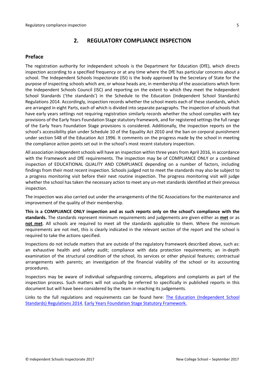## <span id="page-4-0"></span>**2. REGULATORY COMPLIANCE INSPECTION**

## <span id="page-4-1"></span>**Preface**

The registration authority for independent schools is the Department for Education (DfE), which directs inspection according to a specified frequency or at any time where the DfE has particular concerns about a school. The Independent Schools Inspectorate (ISI) is the body approved by the Secretary of State for the purpose of inspecting schools which are, or whose heads are, in membership of the associations which form the Independent Schools Council (ISC) and reporting on the extent to which they meet the Independent School Standards ('the standards') in the Schedule to the Education (Independent School Standards) Regulations 2014. Accordingly, inspection records whether the school meets each of these standards, which are arranged in eight Parts, each of which is divided into separate paragraphs. The inspection of schools that have early years settings not requiring registration similarly records whether the school complies with key provisions of the Early Years Foundation Stage statutory framework, and for registered settings the full range of the Early Years Foundation Stage provisions is considered. Additionally, the inspection reports on the school's accessibility plan under Schedule 10 of the Equality Act 2010 and the ban on corporal punishment under section 548 of the Education Act 1996. It comments on the progress made by the school in meeting the compliance action points set out in the school's most recent statutory inspection.

All association independent schools will have an inspection within three yearsfrom April 2016, in accordance with the Framework and DfE requirements. The inspection may be of COMPLIANCE ONLY or a combined inspection of EDUCATIONAL QUALITY AND COMPLIANCE depending on a number of factors, including findings from their most recent inspection. Schools judged not to meet the standards may also be subject to a progress monitoring visit before their next routine inspection. The progress monitoring visit will judge whether the school has taken the necessary action to meet any un-met standards identified at their previous inspection.

The inspection was also carried out under the arrangements of the ISC Associations for the maintenance and improvement of the quality of their membership.

**This is a COMPLIANCE ONLY inspection and as such reports only on the school's compliance with the standards.** The standards represent minimum requirements and judgements are given either as **met** or as **not met**. All schools are required to meet all the standards applicable to them. Where the minimum requirements are not met, this is clearly indicated in the relevant section of the report and the school is required to take the actions specified.

Inspections do not include matters that are outside of the regulatory framework described above, such as: an exhaustive health and safety audit; compliance with data protection requirements; an in-depth examination of the structural condition of the school, its services or other physical features; contractual arrangements with parents; an investigation of the financial viability of the school or its accounting procedures.

Inspectors may be aware of individual safeguarding concerns, allegations and complaints as part of the inspection process. Such matters will not usually be referred to specifically in published reports in this document but will have been considered by the team in reaching its judgements.

Links to the full regulations and requirements can be found here: The Education [\(Independent](http://www.legislation.gov.uk/uksi/2014/3283/contents/made) School Standards) [Regulations](http://www.legislation.gov.uk/uksi/2014/3283/contents/made) 2014, Early Years Foundation Stage Statutory [Framework.](https://www.gov.uk/government/publications/early-years-foundation-stage-framework--2)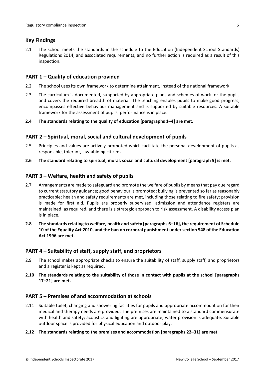## <span id="page-5-0"></span>**Key Findings**

2.1 The school meets the standards in the schedule to the Education (Independent School Standards) Regulations 2014, and associated requirements, and no further action is required as a result of this inspection.

### <span id="page-5-1"></span>**PART 1 – Quality of education provided**

- 2.2 The school uses its own framework to determine attainment, instead of the national framework.
- 2.3 The curriculum is documented, supported by appropriate plans and schemes of work for the pupils and covers the required breadth of material. The teaching enables pupils to make good progress, encompasses effective behaviour management and is supported by suitable resources. A suitable framework for the assessment of pupils' performance is in place.

#### **2.4 The standards relating to the quality of education [paragraphs 1–4] are met.**

### <span id="page-5-2"></span>**PART 2 – Spiritual, moral, social and cultural development of pupils**

- 2.5 Principles and values are actively promoted which facilitate the personal development of pupils as responsible, tolerant, law-abiding citizens.
- **2.6 The standard relating to spiritual, moral, social and cultural development [paragraph 5] is met.**

#### <span id="page-5-3"></span>**PART 3 – Welfare, health and safety of pupils**

- 2.7 Arrangements are made to safeguard and promote the welfare of pupils by means that pay due regard to current statutory guidance; good behaviour is promoted; bullying is prevented so far as reasonably practicable; health and safety requirements are met, including those relating to fire safety; provision is made for first aid. Pupils are properly supervised; admission and attendance registers are maintained, as required, and there is a strategic approach to risk assessment. A disability access plan is in place.
- **2.8 The standardsrelating to welfare, health and safety [paragraphs 6–16], the requirement of Schedule 10 of the Equality Act 2010, and the ban on corporal punishment undersection 548 of the Education Act 1996 are met.**

#### <span id="page-5-4"></span>**PART 4 – Suitability of staff, supply staff, and proprietors**

- 2.9 The school makes appropriate checks to ensure the suitability of staff, supply staff, and proprietors and a register is kept as required.
- **2.10 The standards relating to the suitability of those in contact with pupils at the school [paragraphs 17–21] are met.**

#### <span id="page-5-5"></span>**PART 5 – Premises of and accommodation at schools**

- 2.11 Suitable toilet, changing and showering facilities for pupils and appropriate accommodation for their medical and therapy needs are provided. The premises are maintained to a standard commensurate with health and safety; acoustics and lighting are appropriate; water provision is adequate. Suitable outdoor space is provided for physical education and outdoor play.
- **2.12 The standards relating to the premises and accommodation [paragraphs 22–31] are met.**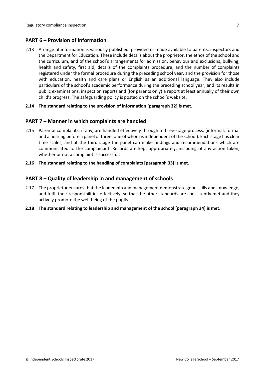## <span id="page-6-0"></span>**PART 6 – Provision of information**

2.13 A range of information is variously published, provided or made available to parents, inspectors and the Department for Education. These include details about the proprietor, the ethos of the school and the curriculum, and of the school's arrangements for admission, behaviour and exclusions, bullying, health and safety, first aid, details of the complaints procedure, and the number of complaints registered under the formal procedure during the preceding school year, and the provision for those with education, health and care plans or English as an additional language. They also include particulars of the school's academic performance during the preceding school year, and its results in public examinations, inspection reports and (for parents only) a report at least annually of their own child's progress. The safeguarding policy is posted on the school's website.

#### **2.14 The standard relating to the provision of information [paragraph 32] is met.**

#### <span id="page-6-1"></span>**PART 7 – Manner in which complaints are handled**

- 2.15 Parental complaints, if any, are handled effectively through a three-stage process, (informal, formal and a hearing before a panel of three, one of whom is independent of the school). Each stage has clear time scales, and at the third stage the panel can make findings and recommendations which are communicated to the complainant. Records are kept appropriately, including of any action taken, whether or not a complaint is successful.
- **2.16 The standard relating to the handling of complaints [paragraph 33] is met.**

#### <span id="page-6-2"></span>**PART 8 – Quality of leadership in and management of schools**

- 2.17 The proprietor ensures that the leadership and management demonstrate good skills and knowledge, and fulfil their responsibilities effectively, so that the other standards are consistently met and they actively promote the well-being of the pupils.
- **2.18 The standard relating to leadership and management of the school [paragraph 34] is met.**